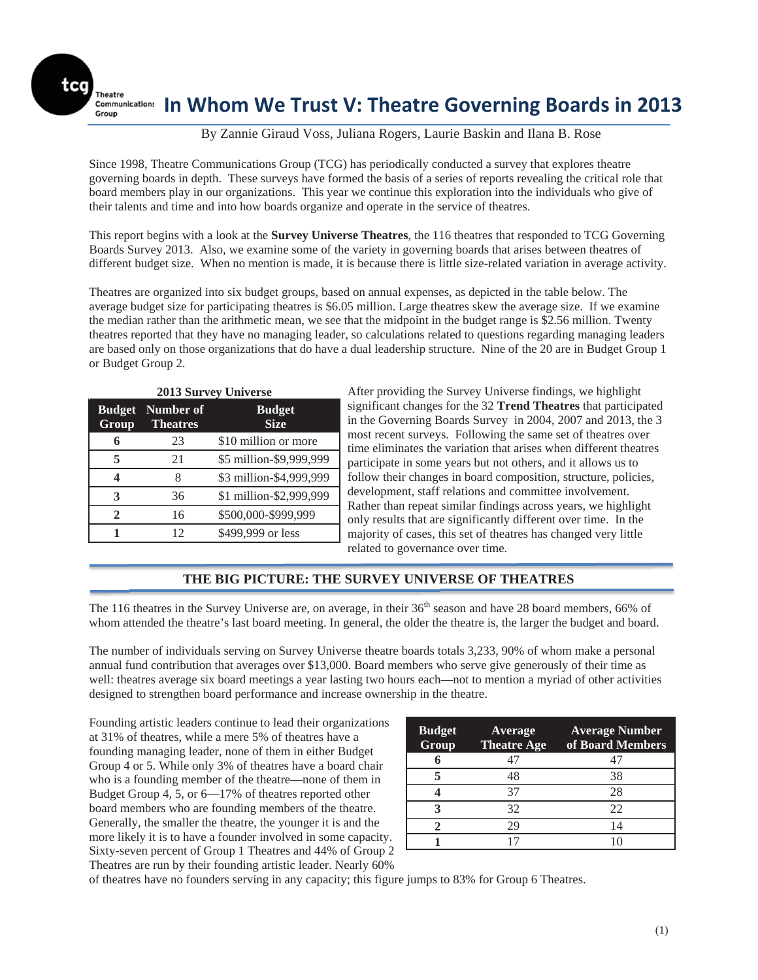Theatre

ſ

tca

# **In Whom We Trust V: Theatre Governing Boards in 2013**

### By Zannie Giraud Voss, Juliana Rogers, Laurie Baskin and Ilana B. Rose

Since 1998, Theatre Communications Group (TCG) has periodically conducted a survey that explores theatre governing boards in depth. These surveys have formed the basis of a series of reports revealing the critical role that board members play in our organizations. This year we continue this exploration into the individuals who give of their talents and time and into how boards organize and operate in the service of theatres.

This report begins with a look at the **Survey Universe Theatres**, the 116 theatres that responded to TCG Governing Boards Survey 2013. Also, we examine some of the variety in governing boards that arises between theatres of different budget size. When no mention is made, it is because there is little size-related variation in average activity.

Theatres are organized into six budget groups, based on annual expenses, as depicted in the table below. The average budget size for participating theatres is \$6.05 million. Large theatres skew the average size. If we examine the median rather than the arithmetic mean, we see that the midpoint in the budget range is \$2.56 million. Twenty theatres reported that they have no managing leader, so calculations related to questions regarding managing leaders are based only on those organizations that do have a dual leadership structure. Nine of the 20 are in Budget Group 1 or Budget Group 2.

| <b>2013 Survey Universe</b> |                              |                              |  |  |  |  |  |  |
|-----------------------------|------------------------------|------------------------------|--|--|--|--|--|--|
| <b>Budget</b><br>Group      | Number of<br><b>Theatres</b> | <b>Budget</b><br><b>Size</b> |  |  |  |  |  |  |
| 6                           | 23                           | \$10 million or more         |  |  |  |  |  |  |
| 5                           | 21                           | \$5 million-\$9,999,999      |  |  |  |  |  |  |
| ◢                           | 8                            | \$3 million-\$4,999,999      |  |  |  |  |  |  |
| 3                           | 36                           | \$1 million-\$2,999,999      |  |  |  |  |  |  |
| $\mathbf{2}$                | 16                           | \$500,000-\$999,999          |  |  |  |  |  |  |
|                             | 12                           | \$499,999 or less            |  |  |  |  |  |  |

After providing the Survey Universe findings, we highlight significant changes for the 32 **Trend Theatres** that participated in the Governing Boards Survey in 2004, 2007 and 2013, the 3 most recent surveys. Following the same set of theatres over time eliminates the variation that arises when different theatres participate in some years but not others, and it allows us to follow their changes in board composition, structure, policies, development, staff relations and committee involvement. Rather than repeat similar findings across years, we highlight only results that are significantly different over time. In the majority of cases, this set of theatres has changed very little related to governance over time.

### **THE BIG PICTURE: THE SURVEY UNIVERSE OF THEATRES**

The 116 theatres in the Survey Universe are, on average, in their  $36<sup>th</sup>$  season and have 28 board members, 66% of whom attended the theatre's last board meeting. In general, the older the theatre is, the larger the budget and board.

The number of individuals serving on Survey Universe theatre boards totals 3,233, 90% of whom make a personal annual fund contribution that averages over \$13,000. Board members who serve give generously of their time as well: theatres average six board meetings a year lasting two hours each—not to mention a myriad of other activities designed to strengthen board performance and increase ownership in the theatre.

Founding artistic leaders continue to lead their organizations at 31% of theatres, while a mere 5% of theatres have a founding managing leader, none of them in either Budget Group 4 or 5. While only 3% of theatres have a board chair who is a founding member of the theatre—none of them in Budget Group 4, 5, or 6—17% of theatres reported other board members who are founding members of the theatre. Generally, the smaller the theatre, the younger it is and the more likely it is to have a founder involved in some capacity. Sixty-seven percent of Group 1 Theatres and 44% of Group 2 Theatres are run by their founding artistic leader. Nearly 60%

| <b>Budget</b><br>Group | Average<br><b>Theatre Age</b> | <b>Average Number</b><br>of Board Members |
|------------------------|-------------------------------|-------------------------------------------|
|                        | 47                            |                                           |
|                        | 48                            | 38                                        |
|                        | 37                            | 28                                        |
|                        | 32                            | 22                                        |
|                        | 29                            | 14                                        |
|                        |                               |                                           |

of theatres have no founders serving in any capacity; this figure jumps to 83% for Group 6 Theatres.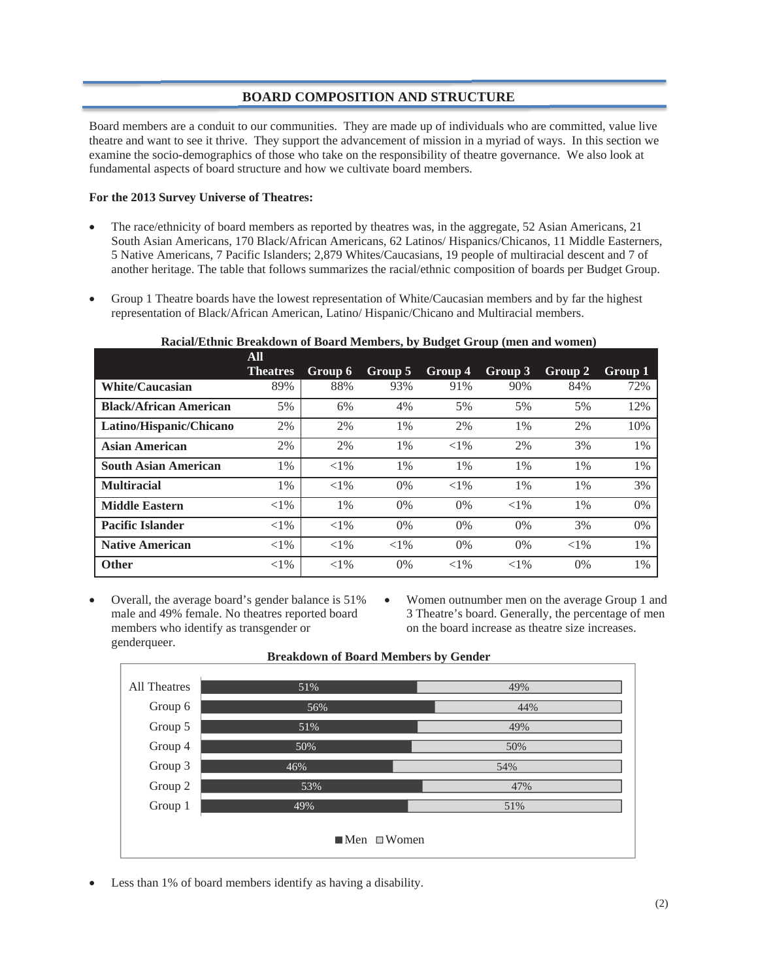### **BOARD COMPOSITION AND STRUCTURE**

Board members are a conduit to our communities. They are made up of individuals who are committed, value live theatre and want to see it thrive. They support the advancement of mission in a myriad of ways. In this section we examine the socio-demographics of those who take on the responsibility of theatre governance. We also look at fundamental aspects of board structure and how we cultivate board members.

### **For the 2013 Survey Universe of Theatres:**

- The race/ethnicity of board members as reported by theatres was, in the aggregate, 52 Asian Americans, 21 South Asian Americans, 170 Black/African Americans, 62 Latinos/ Hispanics/Chicanos, 11 Middle Easterners, 5 Native Americans, 7 Pacific Islanders; 2,879 Whites/Caucasians, 19 people of multiracial descent and 7 of another heritage. The table that follows summarizes the racial/ethnic composition of boards per Budget Group.
- Group 1 Theatre boards have the lowest representation of White/Caucasian members and by far the highest representation of Black/African American, Latino/ Hispanic/Chicano and Multiracial members.

**Racial/Ethnic Breakdown of Board Members, by Budget Group (men and women)** 

|                               | ${\bf A}$ II    |          |          |          |          |          |         |
|-------------------------------|-----------------|----------|----------|----------|----------|----------|---------|
|                               | <b>Theatres</b> | Group 6  | Group 5  | Group 4  | Group 3  | Group 2  | Group 1 |
| <b>White/Caucasian</b>        | 89%             | 88%      | 93%      | 91%      | 90%      | 84%      | 72%     |
| <b>Black/African American</b> | 5%              | 6%       | 4%       | 5%       | 5%       | 5%       | 12%     |
| Latino/Hispanic/Chicano       | 2%              | 2%       | $1\%$    | 2%       | $1\%$    | 2%       | 10%     |
| Asian American                | 2%              | 2%       | 1%       | ${<}1\%$ | 2%       | 3%       | 1%      |
| <b>South Asian American</b>   | 1%              | ${<}1\%$ | 1%       | 1%       | 1%       | $1\%$    | 1%      |
| <b>Multiracial</b>            | 1%              | $< 1\%$  | $0\%$    | $<$ 1%   | $1\%$    | $1\%$    | 3%      |
| <b>Middle Eastern</b>         | ${<}1\%$        | $1\%$    | $0\%$    | $0\%$    | ${<}1\%$ | $1\%$    | 0%      |
| <b>Pacific Islander</b>       | ${<}1\%$        | ${<}1\%$ | $0\%$    | $0\%$    | $0\%$    | 3%       | 0%      |
| <b>Native American</b>        | ${<}1\%$        | ${<}1\%$ | ${<}1\%$ | $0\%$    | $0\%$    | ${<}1\%$ | $1\%$   |
| <b>Other</b>                  | ${<}1\%$        | ${<}1\%$ | $0\%$    | ${<}1\%$ | ${<}1\%$ | $0\%$    | $1\%$   |

- Overall, the average board's gender balance is 51% male and 49% female. No theatres reported board members who identify as transgender or genderqueer.
- Women outnumber men on the average Group 1 and 3 Theatre's board. Generally, the percentage of men on the board increase as theatre size increases.



#### **Breakdown of Board Members by Gender**

Less than 1% of board members identify as having a disability.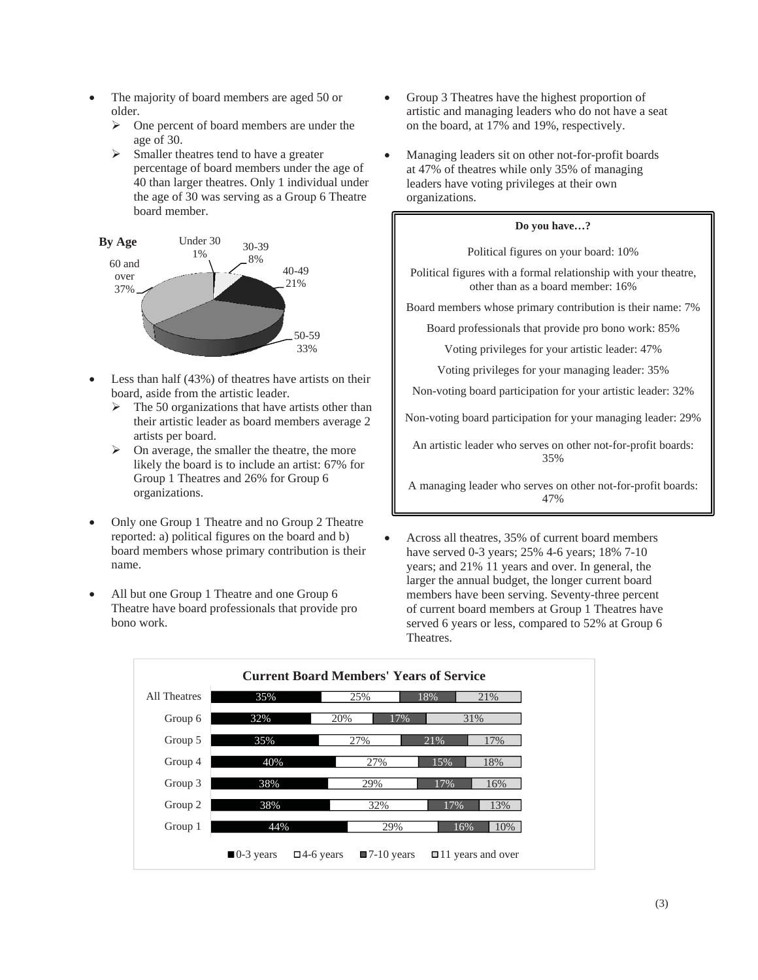- The majority of board members are aged 50 or older.
	- $\triangleright$  One percent of board members are under the age of 30.
	- $\triangleright$  Smaller theatres tend to have a greater percentage of board members under the age of 40 than larger theatres. Only 1 individual under the age of 30 was serving as a Group 6 Theatre board member.



- Less than half  $(43%)$  of theatres have artists on their board, aside from the artistic leader.
	- $\triangleright$  The 50 organizations that have artists other than their artistic leader as board members average 2 artists per board.
	- $\triangleright$  On average, the smaller the theatre, the more likely the board is to include an artist: 67% for Group 1 Theatres and 26% for Group 6 organizations.
- Only one Group 1 Theatre and no Group 2 Theatre reported: a) political figures on the board and b) board members whose primary contribution is their name.
- All but one Group 1 Theatre and one Group 6 Theatre have board professionals that provide pro bono work.
- Group 3 Theatres have the highest proportion of artistic and managing leaders who do not have a seat on the board, at 17% and 19%, respectively.
- Managing leaders sit on other not-for-profit boards at 47% of theatres while only 35% of managing leaders have voting privileges at their own organizations.

### **Do you have…?**

Political figures on your board: 10%

Political figures with a formal relationship with your theatre, other than as a board member: 16%

Board members whose primary contribution is their name: 7%

Board professionals that provide pro bono work: 85%

Voting privileges for your artistic leader: 47%

Voting privileges for your managing leader: 35%

Non-voting board participation for your artistic leader: 32%

Non-voting board participation for your managing leader: 29%

An artistic leader who serves on other not-for-profit boards: 35%

A managing leader who serves on other not-for-profit boards: 47%

Across all theatres, 35% of current board members have served 0-3 years; 25% 4-6 years; 18% 7-10 years; and 21% 11 years and over. In general, the larger the annual budget, the longer current board members have been serving. Seventy-three percent of current board members at Group 1 Theatres have served 6 years or less, compared to 52% at Group 6 Theatres.

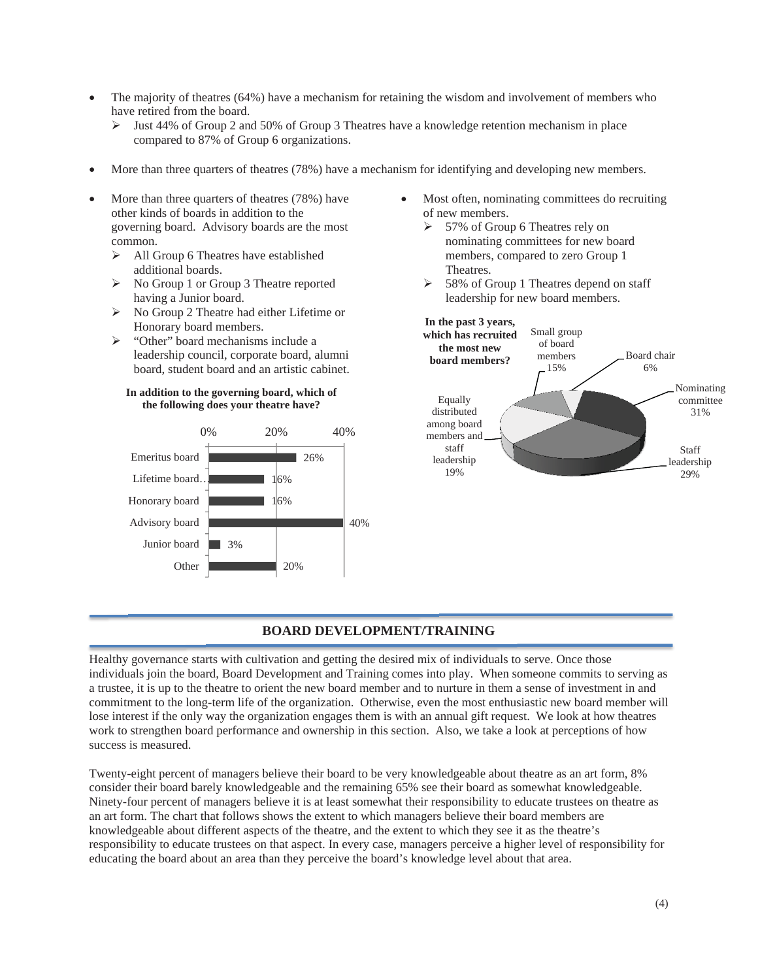- The majority of theatres (64%) have a mechanism for retaining the wisdom and involvement of members who have retired from the board.
	- $\triangleright$  Just 44% of Group 2 and 50% of Group 3 Theatres have a knowledge retention mechanism in place compared to 87% of Group 6 organizations.
- More than three quarters of theatres (78%) have a mechanism for identifying and developing new members.
- More than three quarters of theatres (78%) have other kinds of boards in addition to the governing board. Advisory boards are the most common.
	- $\triangleright$  All Group 6 Theatres have established additional boards.
	- ¾ No Group 1 or Group 3 Theatre reported having a Junior board.
	- ¾ No Group 2 Theatre had either Lifetime or Honorary board members.
	- ¾ "Other" board mechanisms include a leadership council, corporate board, alumni board, student board and an artistic cabinet.

#### **In addition to the governing board, which of the following does your theatre have?**



ł

- Most often, nominating committees do recruiting of new members.
	- $\geq 57\%$  of Group 6 Theatres rely on nominating committees for new board members, compared to zero Group 1 Theatres.
	- $\geq 58\%$  of Group 1 Theatres depend on staff leadership for new board members.



### **BOARD DEVELOPMENT/TRAINING**

Healthy governance starts with cultivation and getting the desired mix of individuals to serve. Once those individuals join the board, Board Development and Training comes into play. When someone commits to serving as a trustee, it is up to the theatre to orient the new board member and to nurture in them a sense of investment in and commitment to the long-term life of the organization. Otherwise, even the most enthusiastic new board member will lose interest if the only way the organization engages them is with an annual gift request. We look at how theatres work to strengthen board performance and ownership in this section. Also, we take a look at perceptions of how success is measured.

Twenty-eight percent of managers believe their board to be very knowledgeable about theatre as an art form, 8% consider their board barely knowledgeable and the remaining 65% see their board as somewhat knowledgeable. Ninety-four percent of managers believe it is at least somewhat their responsibility to educate trustees on theatre as an art form. The chart that follows shows the extent to which managers believe their board members are knowledgeable about different aspects of the theatre, and the extent to which they see it as the theatre's responsibility to educate trustees on that aspect. In every case, managers perceive a higher level of responsibility for educating the board about an area than they perceive the board's knowledge level about that area.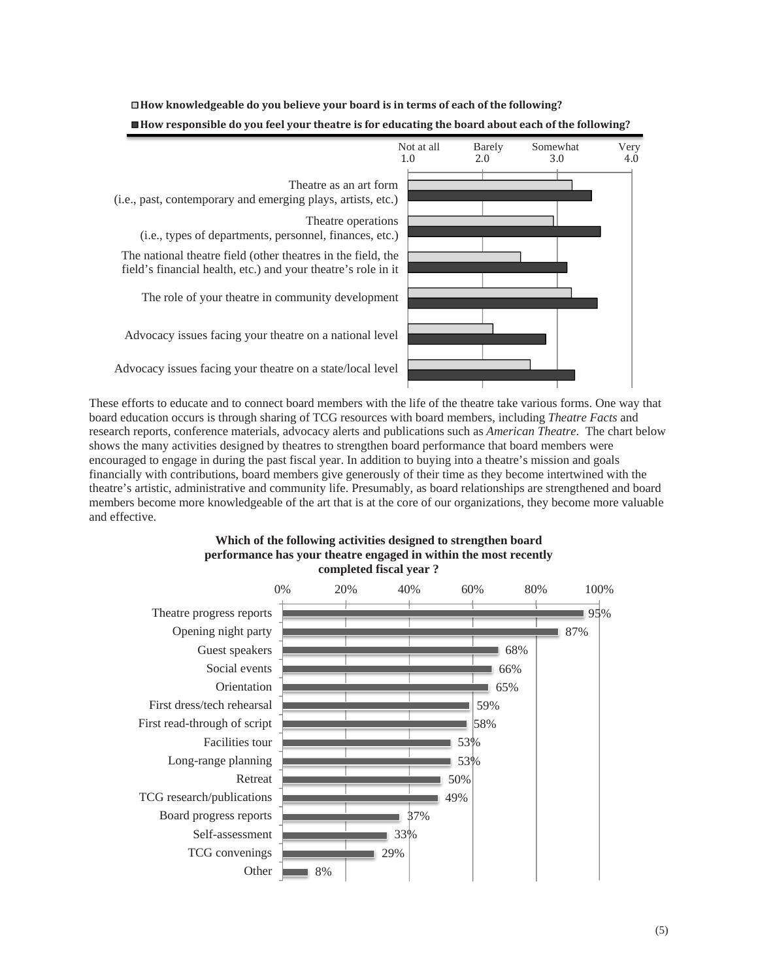

**How knowledgeable do you believe your board is in terms of each of the following? How responsible do you feel your theatre is for educating the board about each of the following?**

These efforts to educate and to connect board members with the life of the theatre take various forms. One way that board education occurs is through sharing of TCG resources with board members, including *Theatre Facts* and research reports, conference materials, advocacy alerts and publications such as *American Theatre*. The chart below shows the many activities designed by theatres to strengthen board performance that board members were encouraged to engage in during the past fiscal year. In addition to buying into a theatre's mission and goals financially with contributions, board members give generously of their time as they become intertwined with the theatre's artistic, administrative and community life. Presumably, as board relationships are strengthened and board members become more knowledgeable of the art that is at the core of our organizations, they become more valuable and effective.



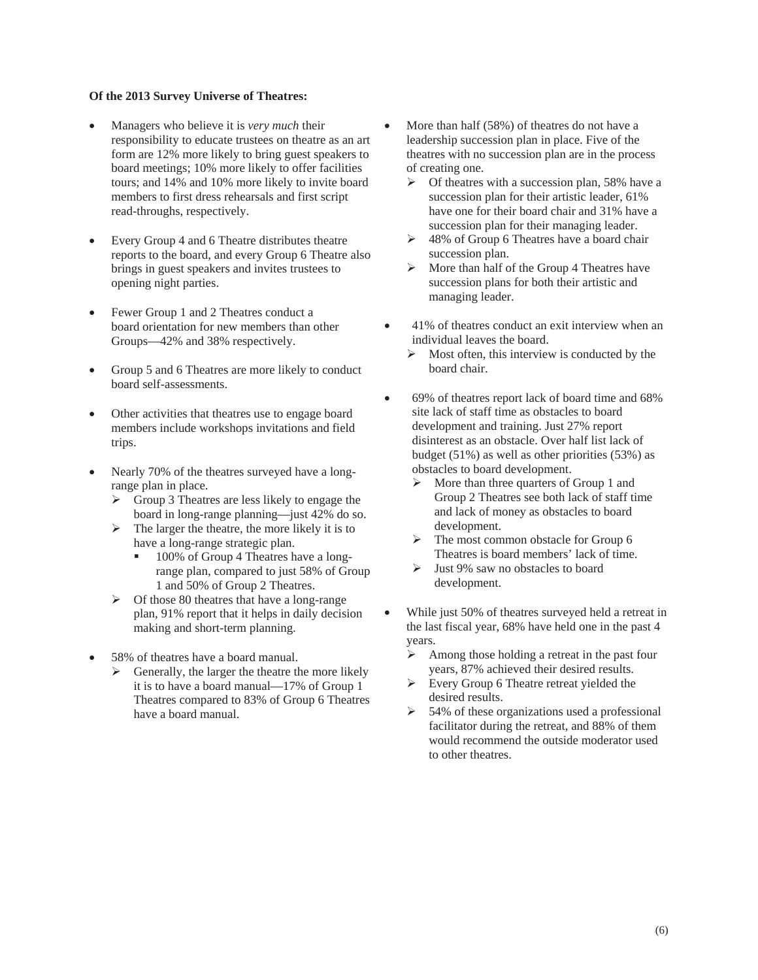- x Managers who believe it is *very much* their responsibility to educate trustees on theatre as an art form are 12% more likely to bring guest speakers to board meetings; 10% more likely to offer facilities tours; and 14% and 10% more likely to invite board members to first dress rehearsals and first script read-throughs, respectively.
- Every Group 4 and 6 Theatre distributes theatre reports to the board, and every Group 6 Theatre also brings in guest speakers and invites trustees to opening night parties.
- Fewer Group 1 and 2 Theatres conduct a board orientation for new members than other Groups—42% and 38% respectively.
- Group 5 and 6 Theatres are more likely to conduct board self-assessments.
- Other activities that theatres use to engage board members include workshops invitations and field trips.
- Nearly 70% of the theatres surveyed have a longrange plan in place.
	- $\triangleright$  Group 3 Theatres are less likely to engage the board in long-range planning—just 42% do so.
	- $\triangleright$  The larger the theatre, the more likely it is to have a long-range strategic plan.
		- <sup>100</sup>% of Group 4 Theatres have a longrange plan, compared to just 58% of Group 1 and 50% of Group 2 Theatres.
	- $\triangleright$  Of those 80 theatres that have a long-range plan, 91% report that it helps in daily decision making and short-term planning.
- 58% of theatres have a board manual.
	- $\triangleright$  Generally, the larger the theatre the more likely it is to have a board manual—17% of Group 1 Theatres compared to 83% of Group 6 Theatres have a board manual.
- More than half (58%) of theatres do not have a leadership succession plan in place. Five of the theatres with no succession plan are in the process of creating one.
	- $\triangleright$  Of theatres with a succession plan, 58% have a succession plan for their artistic leader, 61% have one for their board chair and 31% have a succession plan for their managing leader.
	- $\geq 48\%$  of Group 6 Theatres have a board chair succession plan.
	- $\triangleright$  More than half of the Group 4 Theatres have succession plans for both their artistic and managing leader.
- 41% of theatres conduct an exit interview when an individual leaves the board.
	- $\triangleright$  Most often, this interview is conducted by the board chair.
- x 69% of theatres report lack of board time and 68% site lack of staff time as obstacles to board development and training. Just 27% report disinterest as an obstacle. Over half list lack of budget (51%) as well as other priorities (53%) as obstacles to board development.
	- $\triangleright$  More than three quarters of Group 1 and Group 2 Theatres see both lack of staff time and lack of money as obstacles to board development.
	- $\triangleright$  The most common obstacle for Group 6 Theatres is board members' lack of time.
	- $\triangleright$  Just 9% saw no obstacles to board development.
- While just 50% of theatres surveyed held a retreat in the last fiscal year, 68% have held one in the past 4 years.
	- $\triangleright$  Among those holding a retreat in the past four years, 87% achieved their desired results.
	- $\triangleright$  Every Group 6 Theatre retreat yielded the desired results.
	- $\geq$  54% of these organizations used a professional facilitator during the retreat, and 88% of them would recommend the outside moderator used to other theatres.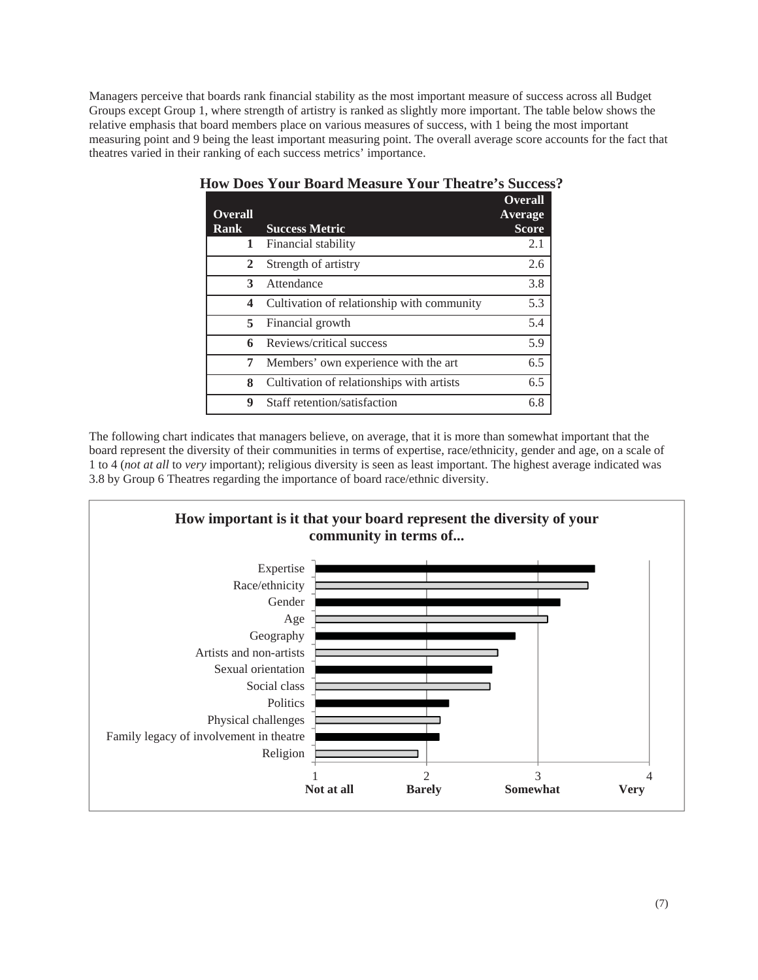Managers perceive that boards rank financial stability as the most important measure of success across all Budget Groups except Group 1, where strength of artistry is ranked as slightly more important. The table below shows the relative emphasis that board members place on various measures of success, with 1 being the most important measuring point and 9 being the least important measuring point. The overall average score accounts for the fact that theatres varied in their ranking of each success metrics' importance.

| <b>Overall</b><br><b>Rank</b> | <b>Success Metric</b>                      | <b>Overall</b><br>Average<br><b>Score</b> |
|-------------------------------|--------------------------------------------|-------------------------------------------|
| 1                             | Financial stability                        | 2.1                                       |
| 2                             | Strength of artistry                       | 2.6                                       |
| 3                             | Attendance                                 | 3.8                                       |
| 4                             | Cultivation of relationship with community | 5.3                                       |
| 5                             | Financial growth                           | 5.4                                       |
| 6                             | Reviews/critical success                   | 5.9                                       |
| 7                             | Members' own experience with the art       | 6.5                                       |
| 8                             | Cultivation of relationships with artists  | 6.5                                       |
| 9                             | Staff retention/satisfaction               | 6.8                                       |

# **How Does Your Board Measure Your Theatre's Success?**

The following chart indicates that managers believe, on average, that it is more than somewhat important that the board represent the diversity of their communities in terms of expertise, race/ethnicity, gender and age, on a scale of 1 to 4 (*not at all* to *very* important); religious diversity is seen as least important. The highest average indicated was 3.8 by Group 6 Theatres regarding the importance of board race/ethnic diversity.

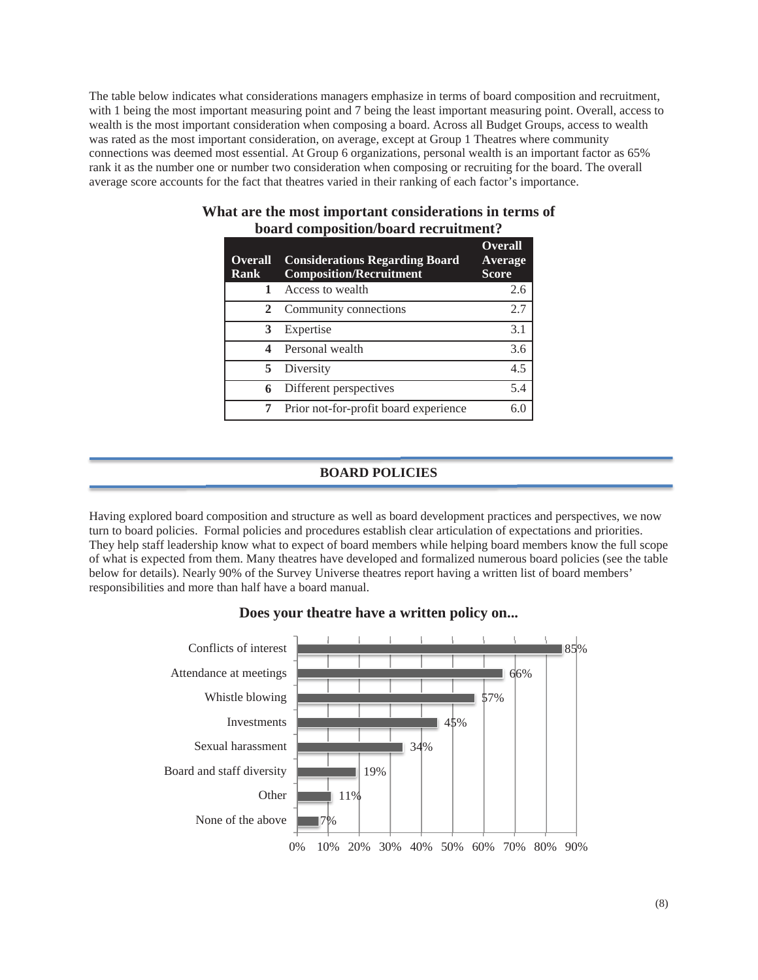The table below indicates what considerations managers emphasize in terms of board composition and recruitment, with 1 being the most important measuring point and 7 being the least important measuring point. Overall, access to wealth is the most important consideration when composing a board. Across all Budget Groups, access to wealth was rated as the most important consideration, on average, except at Group 1 Theatres where community connections was deemed most essential. At Group 6 organizations, personal wealth is an important factor as 65% rank it as the number one or number two consideration when composing or recruiting for the board. The overall average score accounts for the fact that theatres varied in their ranking of each factor's importance.

| <b>Overall</b><br><b>Rank</b> | <b>Considerations Regarding Board</b><br><b>Composition/Recruitment</b> | <b>Overall</b><br>Average<br><b>Score</b> |
|-------------------------------|-------------------------------------------------------------------------|-------------------------------------------|
| $\mathbf{1}$                  | Access to wealth                                                        | 2.6                                       |
| 2                             | Community connections                                                   | 2.7                                       |
| 3                             | Expertise                                                               | 3.1                                       |
| 4                             | Personal wealth                                                         | 3.6                                       |
| 5.                            | Diversity                                                               | 4.5                                       |
| 6                             | Different perspectives                                                  | 5.4                                       |
|                               | Prior not-for-profit board experience                                   | 6.0                                       |

### **What are the most important considerations in terms of board composition/board recruitment?**

# **BOARD POLICIES**

Having explored board composition and structure as well as board development practices and perspectives, we now turn to board policies. Formal policies and procedures establish clear articulation of expectations and priorities. They help staff leadership know what to expect of board members while helping board members know the full scope of what is expected from them. Many theatres have developed and formalized numerous board policies (see the table below for details). Nearly 90% of the Survey Universe theatres report having a written list of board members' responsibilities and more than half have a board manual.



# **Does your theatre have a written policy on...**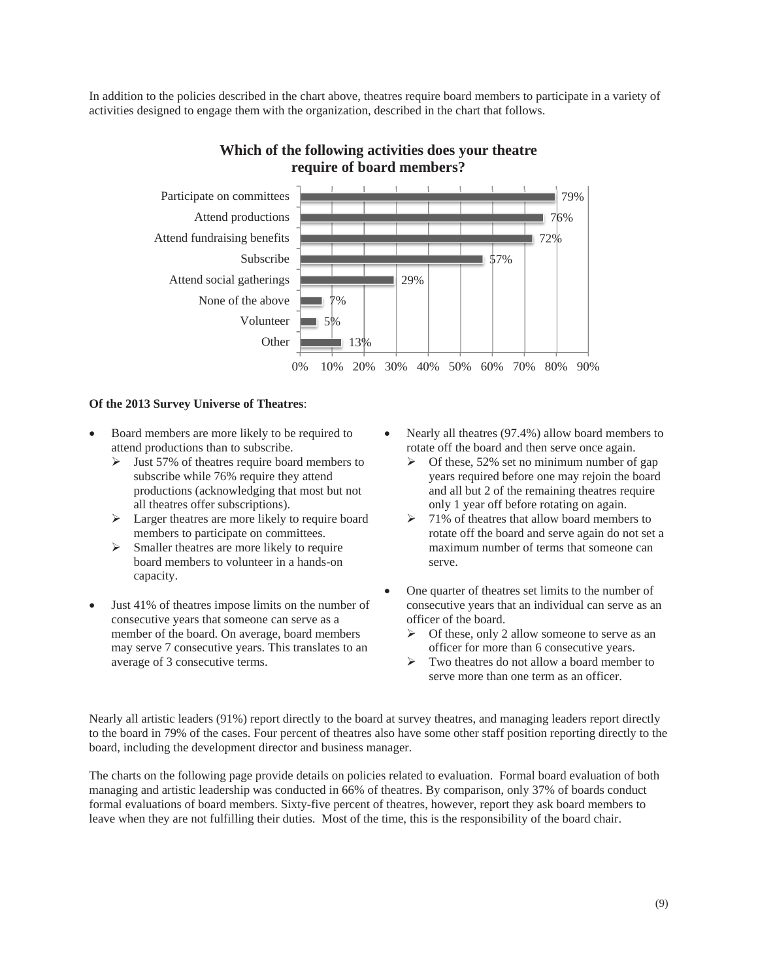In addition to the policies described in the chart above, theatres require board members to participate in a variety of activities designed to engage them with the organization, described in the chart that follows.



### **Which of the following activities does your theatre require of board members?**

#### **Of the 2013 Survey Universe of Theatres**:

- Board members are more likely to be required to attend productions than to subscribe.
	- $\blacktriangleright$  Just 57% of theatres require board members to subscribe while 76% require they attend productions (acknowledging that most but not all theatres offer subscriptions).
	- $\triangleright$  Larger theatres are more likely to require board members to participate on committees.
	- $\triangleright$  Smaller theatres are more likely to require board members to volunteer in a hands-on capacity.
- Just 41% of theatres impose limits on the number of consecutive years that someone can serve as a member of the board. On average, board members may serve 7 consecutive years. This translates to an average of 3 consecutive terms.
- Nearly all theatres (97.4%) allow board members to rotate off the board and then serve once again.
	- $\triangleright$  Of these, 52% set no minimum number of gap years required before one may rejoin the board and all but 2 of the remaining theatres require only 1 year off before rotating on again.
	- $\geq 71\%$  of theatres that allow board members to rotate off the board and serve again do not set a maximum number of terms that someone can serve.
- One quarter of theatres set limits to the number of consecutive years that an individual can serve as an officer of the board.
	- $\triangleright$  Of these, only 2 allow someone to serve as an officer for more than 6 consecutive years.
	- $\triangleright$  Two theatres do not allow a board member to serve more than one term as an officer.

Nearly all artistic leaders (91%) report directly to the board at survey theatres, and managing leaders report directly to the board in 79% of the cases. Four percent of theatres also have some other staff position reporting directly to the board, including the development director and business manager.

The charts on the following page provide details on policies related to evaluation. Formal board evaluation of both managing and artistic leadership was conducted in 66% of theatres. By comparison, only 37% of boards conduct formal evaluations of board members. Sixty-five percent of theatres, however, report they ask board members to leave when they are not fulfilling their duties. Most of the time, this is the responsibility of the board chair.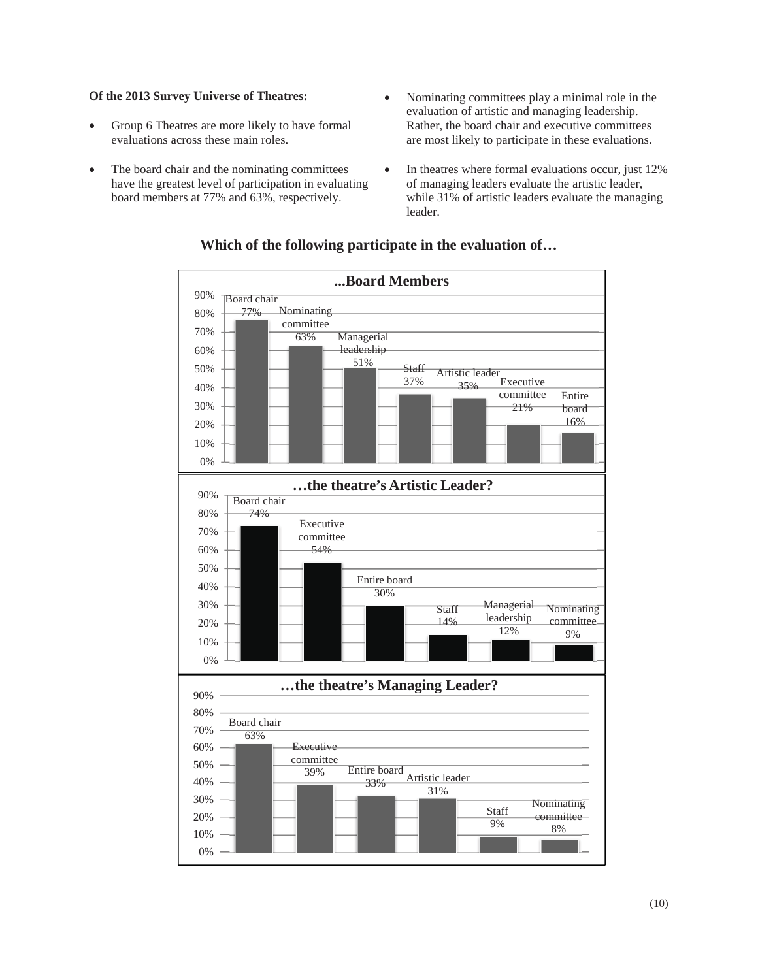- Group 6 Theatres are more likely to have formal evaluations across these main roles.
- The board chair and the nominating committees have the greatest level of participation in evaluating board members at 77% and 63%, respectively.
- Nominating committees play a minimal role in the evaluation of artistic and managing leadership. Rather, the board chair and executive committees are most likely to participate in these evaluations.
- $\bullet$  In theatres where formal evaluations occur, just 12% of managing leaders evaluate the artistic leader, while 31% of artistic leaders evaluate the managing leader.



### **Which of the following participate in the evaluation of…**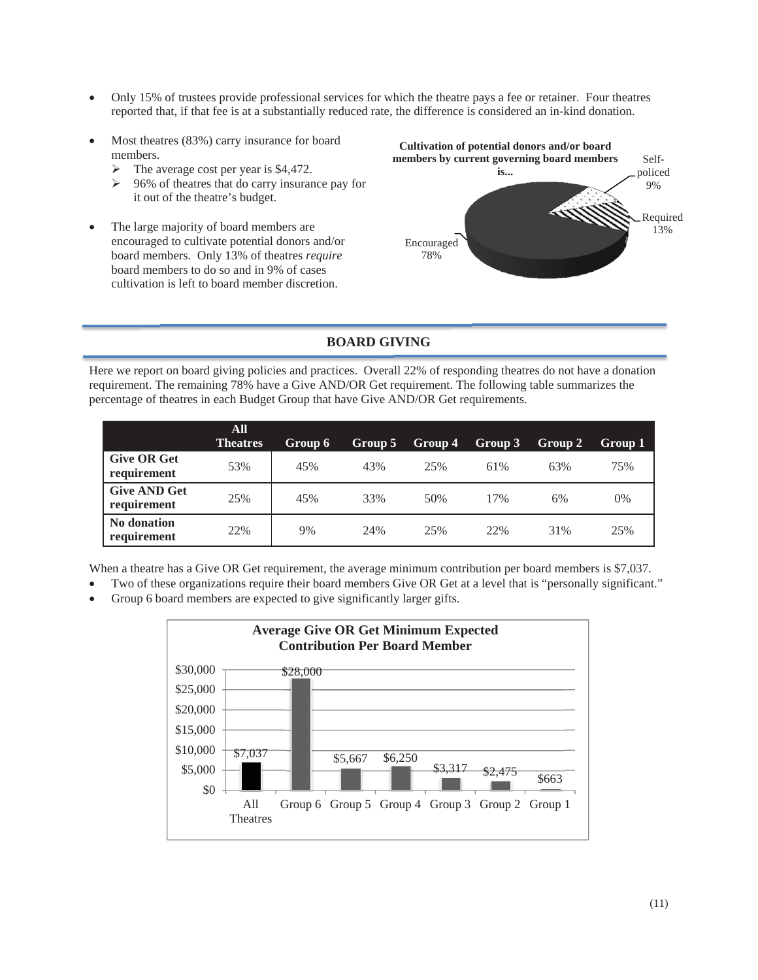- Only 15% of trustees provide professional services for which the theatre pays a fee or retainer. Four theatres reported that, if that fee is at a substantially reduced rate, the difference is considered an in-kind donation.
- Most theatres (83%) carry insurance for board members.
	- $\triangleright$  The average cost per year is \$4,472.
	- ¾ 96% of theatres that do carry insurance pay for it out of the theatre's budget.
- The large majority of board members are encouraged to cultivate potential donors and/or board members. Only 13% of theatres *require* board members to do so and in 9% of cases cultivation is left to board member discretion.



# **BOARD GIVING**

Here we report on board giving policies and practices. Overall 22% of responding theatres do not have a donation requirement. The remaining 78% have a Give AND/OR Get requirement. The following table summarizes the percentage of theatres in each Budget Group that have Give AND/OR Get requirements.

|                                    | <b>All</b><br><b>Theatres</b> | Group 6 | Group 5 | Group 4 | Group 3 | Group 2 | Group 1 |
|------------------------------------|-------------------------------|---------|---------|---------|---------|---------|---------|
| <b>Give OR Get</b><br>requirement  | 53%                           | 45%     | 43%     | 25%     | 61%     | 63%     | 75%     |
| <b>Give AND Get</b><br>requirement | 25%                           | 45%     | 33%     | 50%     | 17%     | 6%      | $0\%$   |
| No donation<br>requirement         | 22%                           | 9%      | 24%     | 25%     | 22%     | 31%     | 25%     |

When a theatre has a Give OR Get requirement, the average minimum contribution per board members is \$7,037.

- Two of these organizations require their board members Give OR Get at a level that is "personally significant."
- Group 6 board members are expected to give significantly larger gifts.

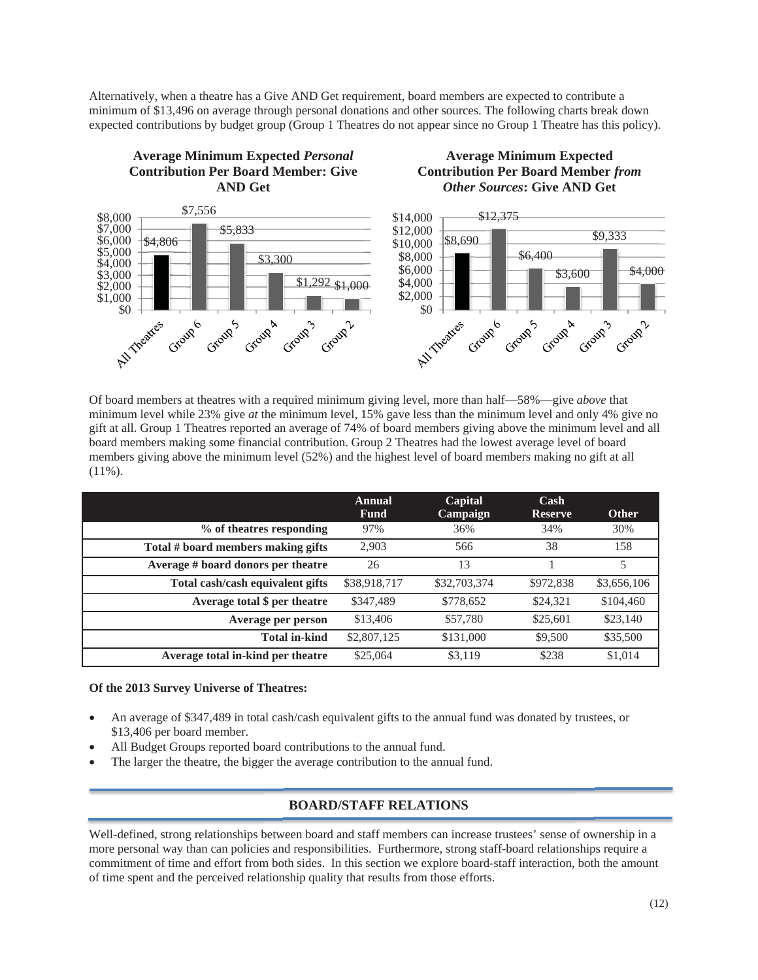Alternatively, when a theatre has a Give AND Get requirement, board members are expected to contribute a minimum of \$13,496 on average through personal donations and other sources. The following charts break down expected contributions by budget group (Group 1 Theatres do not appear since no Group 1 Theatre has this policy).

# **Average Minimum Expected** *Personal* **Contribution Per Board Member: Give AND Get**

**Average Minimum Expected Contribution Per Board Member** *from Other Sources***: Give AND Get**



Of board members at theatres with a required minimum giving level, more than half—58%—give *above* that minimum level while 23% give *at* the minimum level, 15% gave less than the minimum level and only 4% give no gift at all. Group 1 Theatres reported an average of 74% of board members giving above the minimum level and all board members making some financial contribution. Group 2 Theatres had the lowest average level of board members giving above the minimum level (52%) and the highest level of board members making no gift at all  $(11\%)$ .

|                                    | Annual<br><b>Fund</b> | Capital<br>Campaign | $\operatorname{Cash}$<br><b>Reserve</b> | <b>Other</b> |
|------------------------------------|-----------------------|---------------------|-----------------------------------------|--------------|
| % of theatres responding           | 97%                   | 36%                 | 34%                                     | 30%          |
| Total # board members making gifts | 2,903                 | 566                 | 38                                      | 158          |
| Average # board donors per theatre | 26                    | 13                  |                                         | 5            |
| Total cash/cash equivalent gifts   | \$38,918,717          | \$32,703,374        | \$972,838                               | \$3,656,106  |
| Average total \$ per theatre       | \$347,489             | \$778,652           | \$24,321                                | \$104,460    |
| Average per person                 | \$13,406              | \$57,780            | \$25,601                                | \$23,140     |
| <b>Total in-kind</b>               | \$2,807,125           | \$131,000           | \$9,500                                 | \$35,500     |
| Average total in-kind per theatre  | \$25,064              | \$3,119             | \$238                                   | \$1,014      |

### **Of the 2013 Survey Universe of Theatres:**

- An average of \$347,489 in total cash/cash equivalent gifts to the annual fund was donated by trustees, or \$13,406 per board member.
- All Budget Groups reported board contributions to the annual fund.
- The larger the theatre, the bigger the average contribution to the annual fund.

# **BOARD/STAFF RELATIONS**

Well-defined, strong relationships between board and staff members can increase trustees' sense of ownership in a more personal way than can policies and responsibilities. Furthermore, strong staff-board relationships require a commitment of time and effort from both sides. In this section we explore board-staff interaction, both the amount of time spent and the perceived relationship quality that results from those efforts.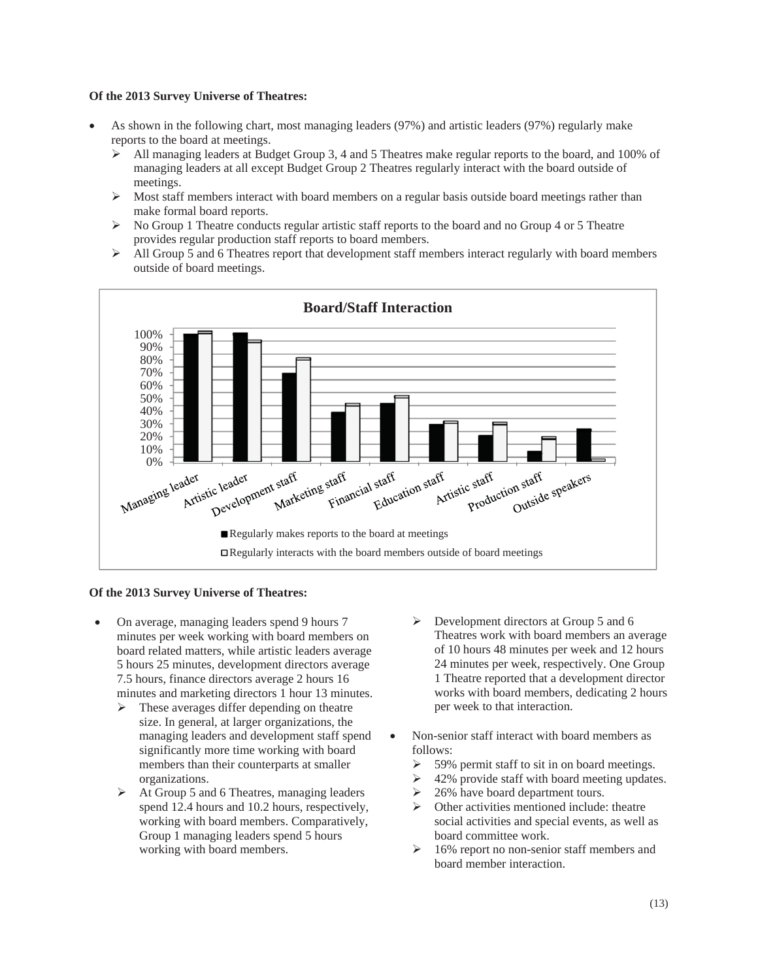- As shown in the following chart, most managing leaders (97%) and artistic leaders (97%) regularly make reports to the board at meetings.
	- $\blacktriangleright$  All managing leaders at Budget Group 3, 4 and 5 Theatres make regular reports to the board, and 100% of managing leaders at all except Budget Group 2 Theatres regularly interact with the board outside of meetings.
	- $\triangleright$  Most staff members interact with board members on a regular basis outside board meetings rather than make formal board reports.
	- ¾ No Group 1 Theatre conducts regular artistic staff reports to the board and no Group 4 or 5 Theatre provides regular production staff reports to board members.
	- $\triangleright$  All Group 5 and 6 Theatres report that development staff members interact regularly with board members outside of board meetings.



#### **Of the 2013 Survey Universe of Theatres:**

- On average, managing leaders spend 9 hours 7 minutes per week working with board members on board related matters, while artistic leaders average 5 hours 25 minutes, development directors average 7.5 hours, finance directors average 2 hours 16 minutes and marketing directors 1 hour 13 minutes.
	- $\triangleright$  These averages differ depending on theatre size. In general, at larger organizations, the managing leaders and development staff spend significantly more time working with board members than their counterparts at smaller organizations.
	- $\triangleright$  At Group 5 and 6 Theatres, managing leaders spend 12.4 hours and 10.2 hours, respectively, working with board members. Comparatively, Group 1 managing leaders spend 5 hours working with board members.
- $\triangleright$  Development directors at Group 5 and 6 Theatres work with board members an average of 10 hours 48 minutes per week and 12 hours 24 minutes per week, respectively. One Group 1 Theatre reported that a development director works with board members, dedicating 2 hours per week to that interaction.
- Non-senior staff interact with board members as follows:
	- $\geq$  59% permit staff to sit in on board meetings.
	- $\geq 42\%$  provide staff with board meeting updates.
	- $\geq$  26% have board department tours.
	- $\triangleright$  Other activities mentioned include: theatre social activities and special events, as well as board committee work.
	- $\geq 16\%$  report no non-senior staff members and board member interaction.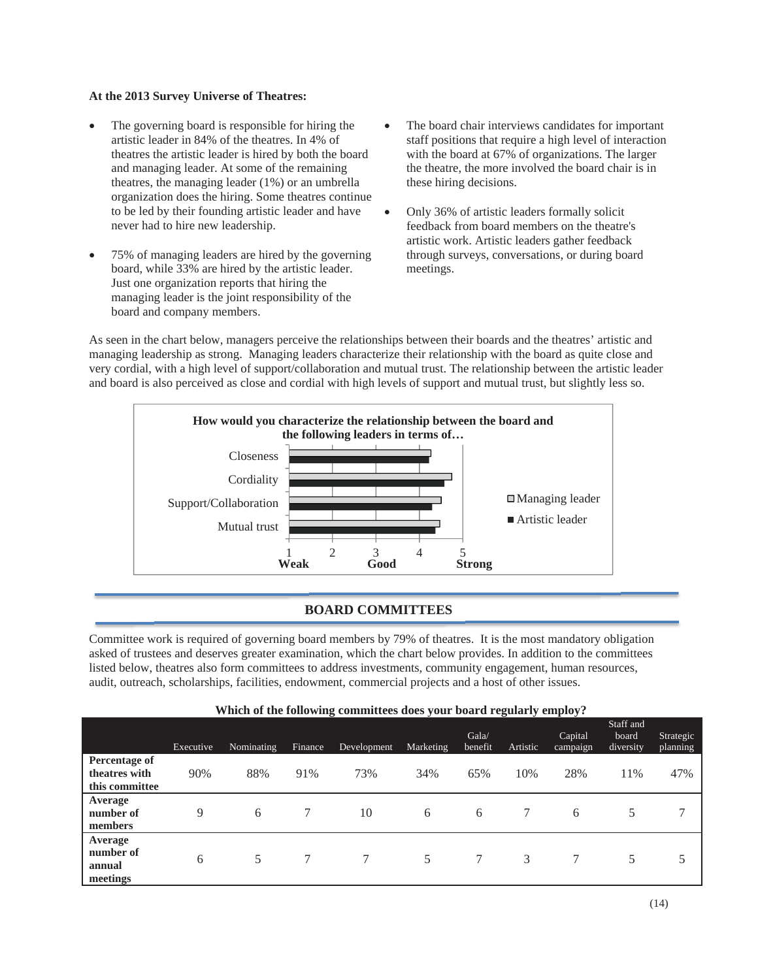- The governing board is responsible for hiring the artistic leader in 84% of the theatres. In 4% of theatres the artistic leader is hired by both the board and managing leader. At some of the remaining theatres, the managing leader (1%) or an umbrella organization does the hiring. Some theatres continue to be led by their founding artistic leader and have never had to hire new leadership.
- 75% of managing leaders are hired by the governing board, while 33% are hired by the artistic leader. Just one organization reports that hiring the managing leader is the joint responsibility of the board and company members.
- The board chair interviews candidates for important staff positions that require a high level of interaction with the board at 67% of organizations. The larger the theatre, the more involved the board chair is in these hiring decisions.
- x Only 36% of artistic leaders formally solicit feedback from board members on the theatre's artistic work. Artistic leaders gather feedback through surveys, conversations, or during board meetings.

As seen in the chart below, managers perceive the relationships between their boards and the theatres' artistic and managing leadership as strong. Managing leaders characterize their relationship with the board as quite close and very cordial, with a high level of support/collaboration and mutual trust. The relationship between the artistic leader and board is also perceived as close and cordial with high levels of support and mutual trust, but slightly less so.



# **BOARD COMMITTEES**

Committee work is required of governing board members by 79% of theatres. It is the most mandatory obligation asked of trustees and deserves greater examination, which the chart below provides. In addition to the committees listed below, theatres also form committees to address investments, community engagement, human resources, audit, outreach, scholarships, facilities, endowment, commercial projects and a host of other issues.

| Which of the following committees does your board regularly employ? |  |  |  |
|---------------------------------------------------------------------|--|--|--|
|                                                                     |  |  |  |

|                                                         | Executive | Nominating | <b>Finance</b> | Development | Marketing | Gala/<br>benefit | Artistic | Capital<br>campaign | Staff and<br>board<br>diversity | Strategic<br>planning |
|---------------------------------------------------------|-----------|------------|----------------|-------------|-----------|------------------|----------|---------------------|---------------------------------|-----------------------|
| <b>Percentage of</b><br>theatres with<br>this committee | 90%       | 88%        | 91%            | 73%         | 34%       | 65%              | 10%      | 28%                 | 11%                             | 47%                   |
| Average<br>number of<br>members                         | 9         | 6          |                | 10          | 6         | 6                |          | 6                   |                                 | 7                     |
| Average<br>number of<br>annual<br>meetings              | 6         | 5          | 7              |             | 5         |                  | 3        |                     | 5                               | 5                     |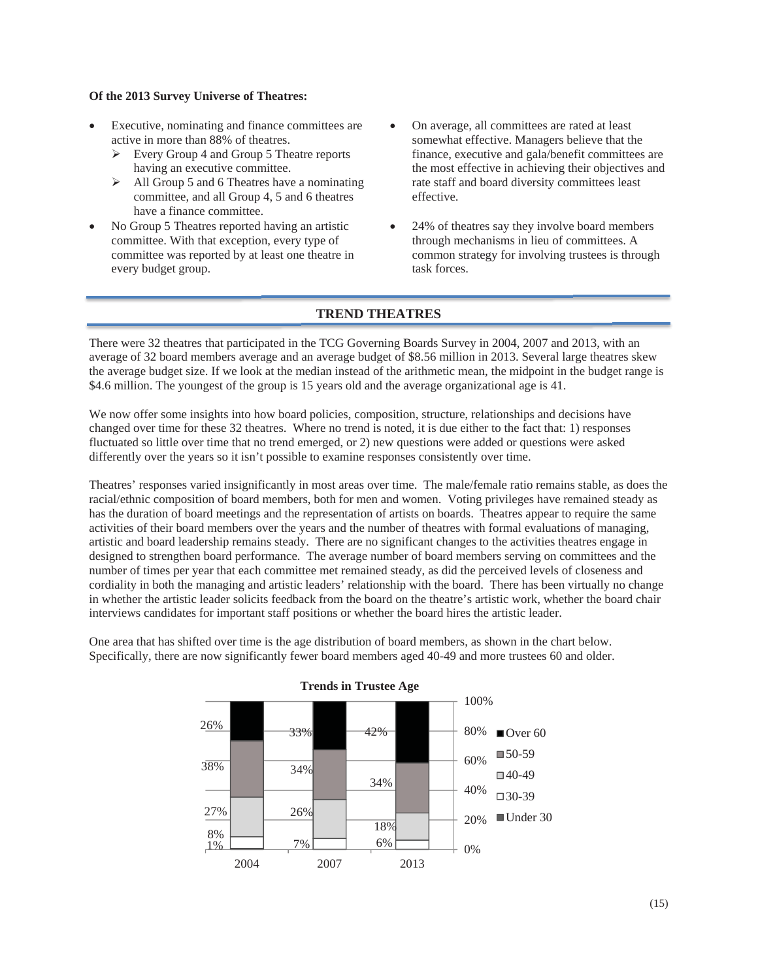- Executive, nominating and finance committees are active in more than 88% of theatres.
	- $\triangleright$  Every Group 4 and Group 5 Theatre reports having an executive committee.
	- $\triangleright$  All Group 5 and 6 Theatres have a nominating committee, and all Group 4, 5 and 6 theatres have a finance committee.
- No Group 5 Theatres reported having an artistic committee. With that exception, every type of committee was reported by at least one theatre in every budget group.
- On average, all committees are rated at least somewhat effective. Managers believe that the finance, executive and gala/benefit committees are the most effective in achieving their objectives and rate staff and board diversity committees least effective.
- 24% of theatres say they involve board members through mechanisms in lieu of committees. A common strategy for involving trustees is through task forces.

### **TREND THEATRES**

There were 32 theatres that participated in the TCG Governing Boards Survey in 2004, 2007 and 2013, with an average of 32 board members average and an average budget of \$8.56 million in 2013. Several large theatres skew the average budget size. If we look at the median instead of the arithmetic mean, the midpoint in the budget range is \$4.6 million. The youngest of the group is 15 years old and the average organizational age is 41.

We now offer some insights into how board policies, composition, structure, relationships and decisions have changed over time for these 32 theatres. Where no trend is noted, it is due either to the fact that: 1) responses fluctuated so little over time that no trend emerged, or 2) new questions were added or questions were asked differently over the years so it isn't possible to examine responses consistently over time.

Theatres' responses varied insignificantly in most areas over time. The male/female ratio remains stable, as does the racial/ethnic composition of board members, both for men and women. Voting privileges have remained steady as has the duration of board meetings and the representation of artists on boards. Theatres appear to require the same activities of their board members over the years and the number of theatres with formal evaluations of managing, artistic and board leadership remains steady. There are no significant changes to the activities theatres engage in designed to strengthen board performance. The average number of board members serving on committees and the number of times per year that each committee met remained steady, as did the perceived levels of closeness and cordiality in both the managing and artistic leaders' relationship with the board. There has been virtually no change in whether the artistic leader solicits feedback from the board on the theatre's artistic work, whether the board chair interviews candidates for important staff positions or whether the board hires the artistic leader.

One area that has shifted over time is the age distribution of board members, as shown in the chart below. Specifically, there are now significantly fewer board members aged 40-49 and more trustees 60 and older.



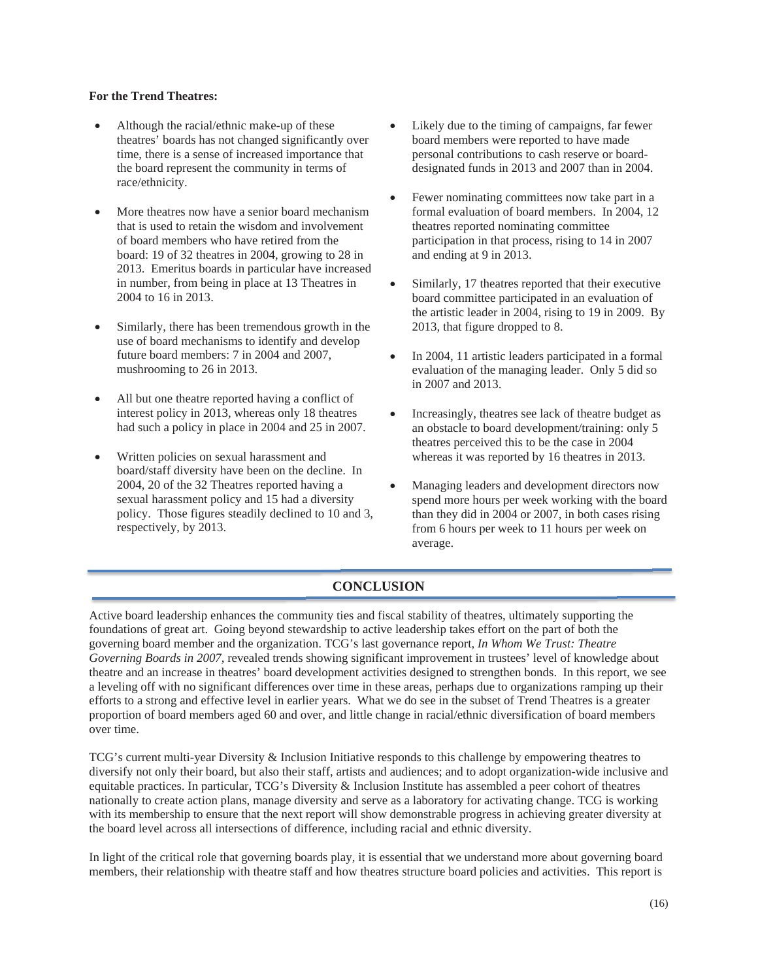### **For the Trend Theatres:**

- $\bullet$  Although the racial/ethnic make-up of these theatres' boards has not changed significantly over time, there is a sense of increased importance that the board represent the community in terms of race/ethnicity.
- More theatres now have a senior board mechanism that is used to retain the wisdom and involvement of board members who have retired from the board: 19 of 32 theatres in 2004, growing to 28 in 2013. Emeritus boards in particular have increased in number, from being in place at 13 Theatres in 2004 to 16 in 2013.
- Similarly, there has been tremendous growth in the use of board mechanisms to identify and develop future board members: 7 in 2004 and 2007, mushrooming to 26 in 2013.
- All but one theatre reported having a conflict of interest policy in 2013, whereas only 18 theatres had such a policy in place in 2004 and 25 in 2007.
- x Written policies on sexual harassment and board/staff diversity have been on the decline. In 2004, 20 of the 32 Theatres reported having a sexual harassment policy and 15 had a diversity policy. Those figures steadily declined to 10 and 3, respectively, by 2013.
- Likely due to the timing of campaigns, far fewer board members were reported to have made personal contributions to cash reserve or boarddesignated funds in 2013 and 2007 than in 2004.
- Fewer nominating committees now take part in a formal evaluation of board members. In 2004, 12 theatres reported nominating committee participation in that process, rising to 14 in 2007 and ending at 9 in 2013.
- Similarly, 17 theatres reported that their executive board committee participated in an evaluation of the artistic leader in 2004, rising to 19 in 2009. By 2013, that figure dropped to 8.
- In 2004, 11 artistic leaders participated in a formal evaluation of the managing leader. Only 5 did so in 2007 and 2013.
- Increasingly, theatres see lack of theatre budget as an obstacle to board development/training: only 5 theatres perceived this to be the case in 2004 whereas it was reported by 16 theatres in 2013.
- Managing leaders and development directors now spend more hours per week working with the board than they did in 2004 or 2007, in both cases rising from 6 hours per week to 11 hours per week on average.

# **CONCLUSION**

Active board leadership enhances the community ties and fiscal stability of theatres, ultimately supporting the foundations of great art. Going beyond stewardship to active leadership takes effort on the part of both the governing board member and the organization. TCG's last governance report, *In Whom We Trust: Theatre Governing Boards in 2007,* revealed trends showing significant improvement in trustees' level of knowledge about theatre and an increase in theatres' board development activities designed to strengthen bonds. In this report, we see a leveling off with no significant differences over time in these areas, perhaps due to organizations ramping up their efforts to a strong and effective level in earlier years. What we do see in the subset of Trend Theatres is a greater proportion of board members aged 60 and over, and little change in racial/ethnic diversification of board members over time.

TCG's current multi-year Diversity & Inclusion Initiative responds to this challenge by empowering theatres to diversify not only their board, but also their staff, artists and audiences; and to adopt organization-wide inclusive and equitable practices. In particular, TCG's Diversity & Inclusion Institute has assembled a peer cohort of theatres nationally to create action plans, manage diversity and serve as a laboratory for activating change. TCG is working with its membership to ensure that the next report will show demonstrable progress in achieving greater diversity at the board level across all intersections of difference, including racial and ethnic diversity.

In light of the critical role that governing boards play, it is essential that we understand more about governing board members, their relationship with theatre staff and how theatres structure board policies and activities. This report is